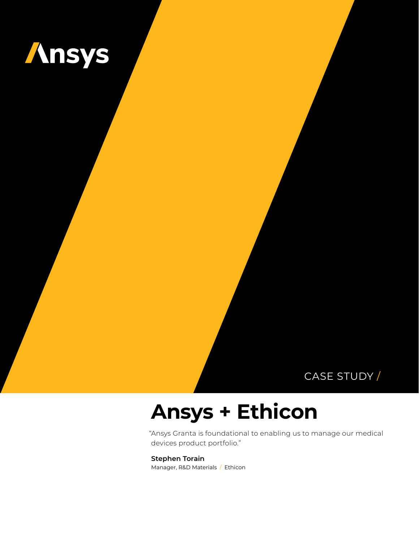

# CASE STUDY /

# **Ansys + Ethicon**

"Ansys Granta is foundational to enabling us to manage our medical devices product portfolio."

#### **Stephen Torain**

Manager, R&D Materials / Ethicon